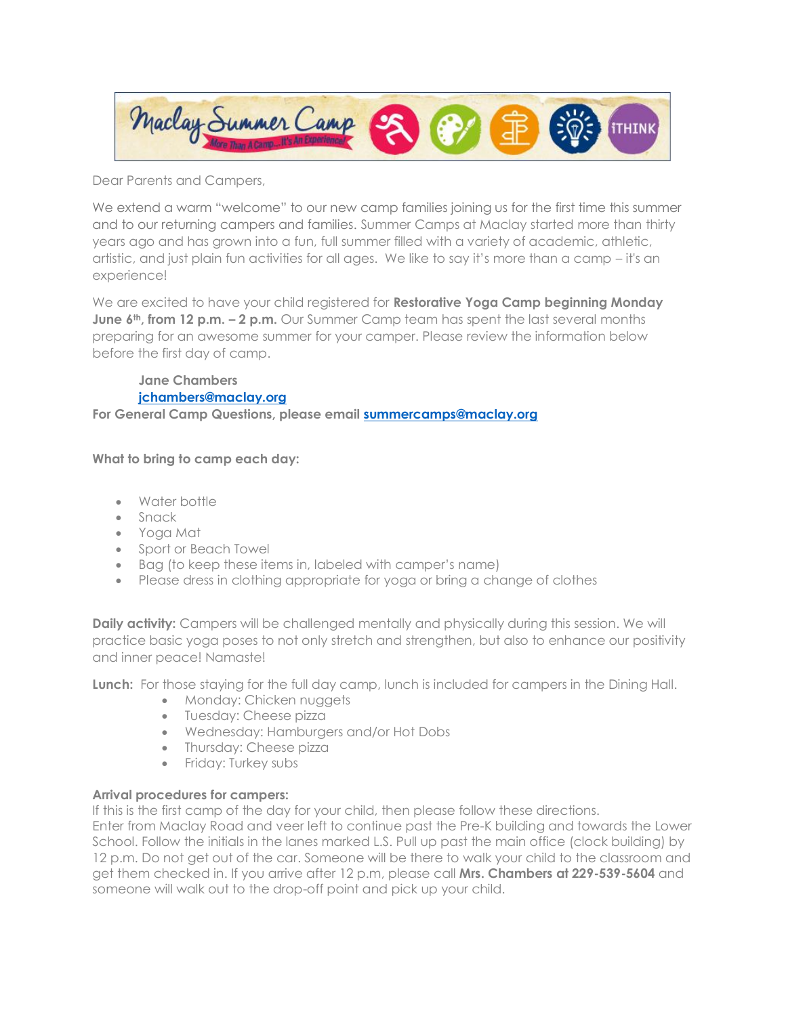

Dear Parents and Campers,

We extend a warm "welcome" to our new camp families joining us for the first time this summer and to our returning campers and families. Summer Camps at Maclay started more than thirty years ago and has grown into a fun, full summer filled with a variety of academic, athletic, artistic, and just plain fun activities for all ages. We like to say it's more than a camp – it's an experience!

We are excited to have your child registered for **Restorative Yoga Camp beginning Monday June 6th, from 12 p.m. – 2 p.m.** Our Summer Camp team has spent the last several months preparing for an awesome summer for your camper. Please review the information below before the first day of camp.

**Jane Chambers [jchambers@maclay.org](mailto:jchambers@maclay.org)** 

**For General Camp Questions, please email [summercamps@maclay.org](mailto:summercamps@maclay.org)**

**What to bring to camp each day:**

- Water bottle
- Snack
- Yoga Mat
- Sport or Beach Towel
- Bag (to keep these items in, labeled with camper's name)
- Please dress in clothing appropriate for yoga or bring a change of clothes

**Daily activity:** Campers will be challenged mentally and physically during this session. We will practice basic yoga poses to not only stretch and strengthen, but also to enhance our positivity and inner peace! Namaste!

**Lunch:** For those staying for the full day camp, lunch is included for campers in the Dining Hall.

- Monday: Chicken nuggets
- Tuesday: Cheese pizza
- Wednesday: Hamburgers and/or Hot Dobs
- Thursday: Cheese pizza
- Friday: Turkey subs

## **Arrival procedures for campers:**

If this is the first camp of the day for your child, then please follow these directions.

Enter from Maclay Road and veer left to continue past the Pre-K building and towards the Lower School. Follow the initials in the lanes marked L.S. Pull up past the main office (clock building) by 12 p.m. Do not get out of the car. Someone will be there to walk your child to the classroom and get them checked in. If you arrive after 12 p.m, please call **Mrs. Chambers at 229-539-5604** and someone will walk out to the drop-off point and pick up your child.